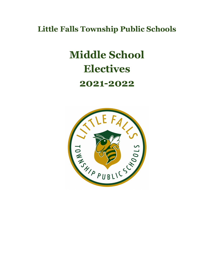**Little Falls Township Public Schools**

# **Middle School Electives 2021-2022**

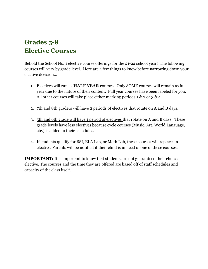# **Grades 5-8 Elective Courses**

Behold the School No. 1 elective course offerings for the 21-22 school year! The following courses will vary by grade level. Here are a few things to know before narrowing down your elective decision…

- 1. Electives will run as **HALF YEAR** courses. Only SOME courses will remain as full year due to the nature of their content. Full year courses have been labeled for you. All other courses will take place either marking periods  $1 \& 2 \text{ or } 3 \& 4$ .
- 2. 7th and 8th graders will have 2 periods of electives that rotate on A and B days.
- 3. 5th and 6th grade will have 1 period of electives that rotate on A and B days. These grade levels have less electives because cycle courses (Music, Art, World Language, etc.) is added to their schedules.
- 4. If students qualify for BSI, ELA Lab, or Math Lab, these courses will replace an elective. Parents will be notified if their child is in need of one of these courses.

**IMPORTANT:** It is important to know that students are not guaranteed their choice elective. The courses and the time they are offered are based off of staff schedules and capacity of the class itself.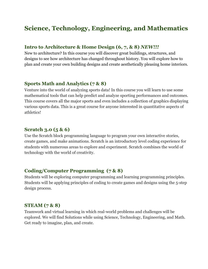# **Science, Technology, Engineering, and Mathematics**

#### **Intro to Architecture & Home Design (6, 7, & 8)** *NEW!!!*

New to architecture? In this course you will discover great buildings, structures, and designs to see how architecture has changed throughout history. You will explore how to plan and create your own building designs and create aesthetically pleasing home interiors.

#### **Sports Math and Analytics (7 & 8)**

Venture into the world of analyzing sports data! In this course you will learn to use some mathematical tools that can help predict and analyze sporting performances and outcomes. This course covers all the major sports and even includes a collection of graphics displaying various sports data. This is a great course for anyone interested in quantitative aspects of athletics!

#### **Scratch 3.0 (5 & 6)**

Use the Scratch block programming language to program your own interactive stories, create games, and make animations. Scratch is an introductory level coding experience for students with numerous areas to explore and experiment. Scratch combines the world of technology with the world of creativity.

#### **Coding/Computer Programming (7 & 8)**

Students will be exploring computer programming and learning programming principles. Students will be applying principles of coding to create games and designs using the 5-step design process.

#### **STEAM (7 & 8)**

Teamwork and virtual learning in which real-world problems and challenges will be explored. We will find Solutions while using Science, Technology, Engineering, and Math. Get ready to imagine, plan, and create.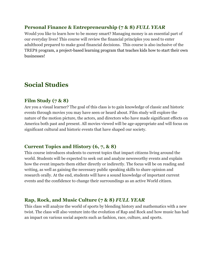#### **Personal Finance & Entrepreneurship (7 & 8)** *FULL YEAR*

Would you like to learn how to be money smart? Managing money is an essential part of our everyday lives! This course will review the financial principles you need to enter adulthood prepared to make good financial decisions. This course is also inclusive of the TREP\$ program, a project-based learning program that teaches kids how to start their own businesses!

# **Social Studies**

#### **Film Study (7 & 8)**

Are you a visual learner? The goal of this class is to gain knowledge of classic and historic events through movies you may have seen or heard about. Film study will explore the nature of the motion picture, the actors, and directors who have made significant effects on America both past and present. All movies viewed will be age-appropriate and will focus on significant cultural and historic events that have shaped our society.

#### **Current Topics and History (6, 7, & 8)**

This course introduces students to current topics that impact citizens living around the world. Students will be expected to seek out and analyze newsworthy events and explain how the event impacts them either directly or indirectly. The focus will be on reading and writing, as well as gaining the necessary public speaking skills to share opinion and research orally. At the end, students will have a sound knowledge of important current events and the confidence to change their surroundings as an active World citizen.

## **Rap, Rock, and Music Culture (7 & 8)** *FULL YEAR*

This class will analyze the world of sports by blending history and mathematics with a new twist. The class will also venture into the evolution of Rap and Rock and how music has had an impact on various social aspects such as fashion, race, culture, and sports.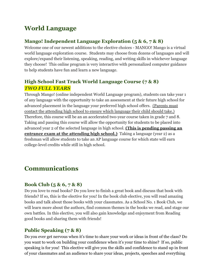# **World Language**

# **Mango! Independent Language Exploration (5 & 6, 7 & 8)**

Welcome one of our newest additions to the elective choices - MANGO! Mango is a virtual world language exploration course. Students may choose from dozens of languages and will explore/expand their listening, speaking, reading, and writing skills in whichever language they choose! This online program is very interactive with personalized computer guidance to help students have fun and learn a new language.

# **High School Fast Track World Language Course (7 & 8)** *TWO FULL YEARS*

Through Mango! (online independent World Language program), students can take year 1 of any language with the opportunity to take an assessment at their future high school for advanced placement in the language your preferred high school offers. (Parents must contact the attending high school to ensure which language their child should take.) Therefore, this course will be an an accelerated two-year course taken in grade 7 and 8. Taking and passing this course will allow the opportunity for students to be placed into advanced year 2 of the selected language in high school. **(This is pending passing an entrance exam at the attending high school.)** Taking a language (year 2) as a freshman will allow students to take an AP language course for which state will earn college-level credits while still in high school.

# **Communications**

## **Book Club (5 & 6, 7 & 8)**

Do you love to read books? Do you love to finish a great book and discuss that book with friends? If so, this is the elective for you! In the book club elective, you will read amazing books and talk about those books with your classmates. As a School No. 1 Book Club, we will learn more about the authors, find common themes in the books we read, and stage our own battles. In this elective, you will also gain knowledge and enjoyment from Reading good books and sharing them with friends!

# **Public Speaking (7 & 8)**

Do you ever get nervous when it's time to share your work or ideas in front of the class? Do you want to work on building your confidence when it's your time to shine? If so, public speaking is for you! This elective will give you the skills and confidence to stand up in front of your classmates and an audience to share your ideas, projects, speeches and everything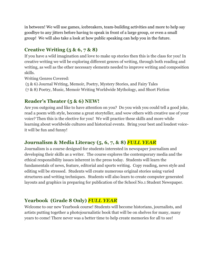in between! We will use games, icebreakers, team-building activities and more to help say goodbye to any jitters before having to speak in front of a large group, or even a small group! We will also take a look at how public speaking can help you in the future.

# **Creative Writing (5 & 6, 7 & 8)**

If you have a wild imagination and love to make up stories then this is the class for you! In creative writing we will be exploring different genres of writing, through both reading and writing, as well as the other necessary elements needed to improve writing and composition skills.

Writing Genres Covered:

(5 & 6) Journal Writing, Memoir, Poetry, Mystery Stories, and Fairy Tales (7 & 8) Poetry, Music, Memoir Writing Worldwide Mythology, and Short Fiction

## **Reader's Theater (5 & 6) NEW!**

Are you outgoing and like to have attention on you? Do you wish you could tell a good joke, read a poem with style, become a great storyteller, and wow others with creative use of your voice? Then this is the elective for you! We will practice these skills and more while learning about worldwide cultures and historical events. Bring your best and loudest voiceit will be fun and funny!

# **Journalism & Media Literacy (5, 6, 7, & 8)** *FULL YEAR*

Journalism is a course designed for students interested in newspaper journalism and developing their skills as a writer. The course explores the contemporary media and the ethical responsibility issues inherent in the press today. Students will learn the fundamentals of news, feature, editorial and sports writing. Copy reading, news style and editing will be stressed. Students will create numerous original stories using varied structures and writing techniques. Students will also learn to create computer generated layouts and graphics in preparing for publication of the School No.1 Student Newspaper.

# **Yearbook (Grade 8 Only)** *FULL YEAR*

Welcome to our new Yearbook course! Students will become historians, journalists, and artists putting together a photojournalistic book that will be on shelves for many, many years to come! There never was a better time to help create memories for all to see!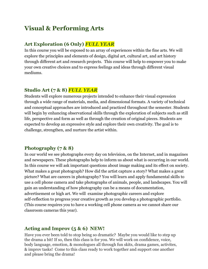# **Visual & Performing Arts**

#### **Art Exploration (6 Only)** *FULL YEAR*

In this course you will be exposed to an array of experiences within the fine arts. We will explore the principles and elements of design, digital art, cultural art, and art history through different art and research projects. This course will help to empower you to make your own creative choices and to express feelings and ideas through different visual mediums.

#### **Studio Art (7 & 8)** *FULL YEAR*

Students will explore numerous projects intended to enhance their visual expression through a wide range of materials, media, and dimensional formats. A variety of technical and conceptual approaches are introduced and practiced throughout the semester. Students will begin by enhancing observational skills through the exploration of subjects such as still life, perspective and form as well as through the creation of original pieces. Students are expected to develop an expressive style and explore their own creativity. The goal is to challenge, strengthen, and nurture the artist within.

#### **Photography (7 & 8)**

In our world we see photographs every day on television, on the Internet, and in magazines and newspapers. These photographs help to inform us about what is occurring in our world. In this course we will ask important questions about image making and its effect on society. What makes a great photograph? How did the artist capture a story? What makes a great picture? What are careers in photography? You will learn and apply fundamental skills to use a cell phone camera and take photographs of animals, people, and landscapes. You will gain an understanding of how photography can be a means of documentation, advertisement or high art. We will examine photographic careers and explore self-reflection to progress your creative growth as you develop a photographic portfolio. (This course requires you to have a working cell phone camera as we cannot share our classroom cameras this year).

## **Acting and Improv (5 & 6) NEW!**

Have you ever been told to stop being so dramatic? Maybe you would like to step up the drama a bit! If so, then this class is for you. We will work on confidence, voice, body language, emotion, & monologues all through fun skits, drama games, activites, & improv tasks! Come to this class ready to work together and support one another and please bring the drama!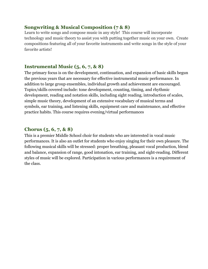#### **Songwriting & Musical Composition (7 & 8)**

Learn to write songs and compose music in any style! This course will incorporate technology and music theory to assist you with putting together music on your own. Create compositions featuring all of your favorite instruments and write songs in the style of your favorite artists!

#### **Instrumental Music (5, 6, 7, & 8)**

The primary focus is on the development, continuation, and expansion of basic skills begun the previous years that are necessary for effective instrumental music performance. In addition to large group ensembles, individual growth and achievement are encouraged. Topics/skills covered include: tone development, counting, timing, and rhythmic development, reading and notation skills, including sight reading, introduction of scales, simple music theory, development of an extensive vocabulary of musical terms and symbols, ear training, and listening skills, equipment care and maintenance, and effective practice habits. This course requires evening/virtual performances

#### **Chorus (5, 6, 7, & 8)**

This is a premier Middle School choir for students who are interested in vocal music performances. It is also an outlet for students who enjoy singing for their own pleasure. The following musical skills will be stressed: proper breathing, pleasant vocal production, blend and balance, expansion of range, good intonation, ear training, and sight-reading. Different styles of music will be explored. Participation in various performances is a requirement of the class.